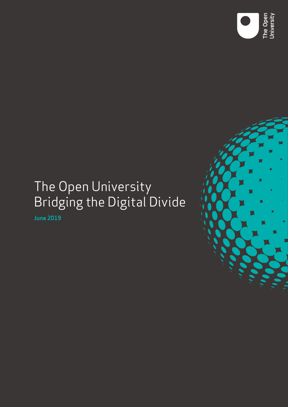

# The Open University Bridging the Digital Divide

**June 2019**

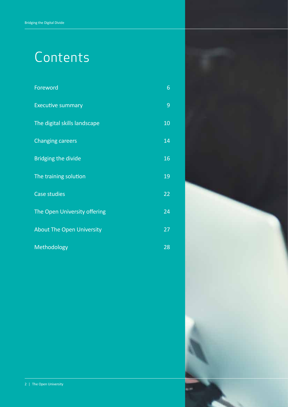# Contents

| Foreword                         | 6               |
|----------------------------------|-----------------|
| <b>Executive summary</b>         | 9               |
| The digital skills landscape     | 10              |
| <b>Changing careers</b>          | 14              |
| <b>Bridging the divide</b>       | 16              |
| The training solution            | 19              |
| <b>Case studies</b>              | 22              |
| The Open University offering     | $\overline{24}$ |
| <b>About The Open University</b> | 27              |
| Methodology                      | 28              |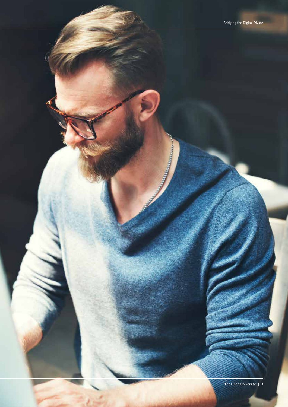E.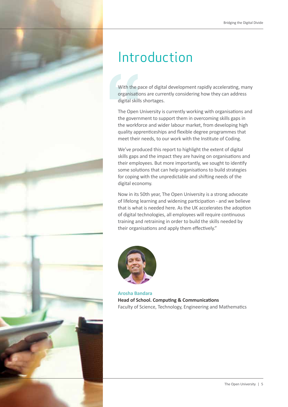

# Introduction

With the pace of digital development rapidly accelerating, many organisations are currently considering how they can address digital skills shortages.

The Open University is currently working with organisations and the government to support them in overcoming skills gaps in the workforce and wider labour market, from developing high quality apprenticeships and flexible degree programmes that meet their needs, to our work with the Institute of Coding.

We've produced this report to highlight the extent of digital skills gaps and the impact they are having on organisations and their employees. But more importantly, we sought to identify some solutions that can help organisations to build strategies for coping with the unpredictable and shifting needs of the digital economy.

Now in its 50th year, The Open University is a strong advocate of lifelong learning and widening participation - and we believe that is what is needed here. As the UK accelerates the adoption of digital technologies, all employees will require continuous training and retraining in order to build the skills needed by their organisations and apply them effectively."



**Arosha Bandara Head of School. Computing & Communications** Faculty of Science, Technology, Engineering and Mathematics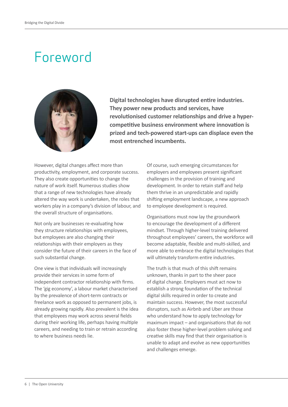### Foreword



**Digital technologies have disrupted entire industries. They power new products and services, have revolutionised customer relationships and drive a hypercompetitive business environment where innovation is prized and tech-powered start-ups can displace even the most entrenched incumbents.** 

However, digital changes affect more than productivity, employment, and corporate success. They also create opportunities to change the nature of work itself. Numerous studies show that a range of new technologies have already altered the way work is undertaken, the roles that workers play in a company's division of labour, and the overall structure of organisations.

Not only are businesses re-evaluating how they structure relationships with employees, but employees are also changing their relationships with their employers as they consider the future of their careers in the face of such substantial change.

One view is that individuals will increasingly provide their services in some form of independent contractor relationship with firms. The 'gig economy', a labour market characterised by the prevalence of short-term contracts or freelance work as opposed to permanent jobs, is already growing rapidly. Also prevalent is the idea that employees may work across several fields during their working life, perhaps having multiple careers, and needing to train or retrain according to where business needs lie.

Of course, such emerging circumstances for employers and employees present significant challenges in the provision of training and development. In order to retain staff and help them thrive in an unpredictable and rapidly shifting employment landscape, a new approach to employee development is required.

Organisations must now lay the groundwork to encourage the development of a different mindset. Through higher-level training delivered throughout employees' careers, the workforce will become adaptable, flexible and multi-skilled, and more able to embrace the digital technologies that will ultimately transform entire industries.

The truth is that much of this shift remains unknown, thanks in part to the sheer pace of digital change. Employers must act now to establish a strong foundation of the technical digital skills required in order to create and maintain success. However, the most successful disruptors, such as Airbnb and Uber are those who understand how to apply technology for maximum impact – and organisations that do not also foster these higher-level problem solving and creative skills may find that their organisation is unable to adapt and evolve as new opportunities and challenges emerge.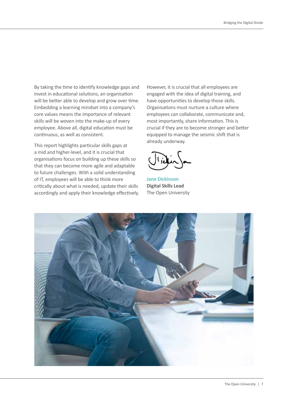By taking the time to identify knowledge gaps and invest in educational solutions, an organisation will be better able to develop and grow over time. Embedding a learning mindset into a company's core values means the importance of relevant skills will be woven into the make-up of every employee. Above all, digital education must be continuous, as well as consistent.

This report highlights particular skills gaps at a mid and higher-level, and it is crucial that organisations focus on building up these skills so that they can become more agile and adaptable to future challenges. With a solid understanding of IT, employees will be able to think more critically about what is needed, update their skills accordingly and apply their knowledge effectively. However, it is crucial that all employees are engaged with the idea of digital training, and have opportunities to develop those skills. Organisations must nurture a culture where employees can collaborate, communicate and, most importantly, share information. This is crucial if they are to become stronger and better equipped to manage the seismic shift that is already underway.

**Jane Dickinson Digital Skills Lead** The Open University

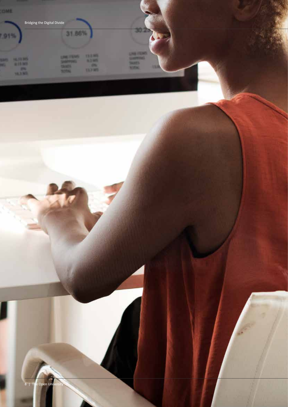



30.2

W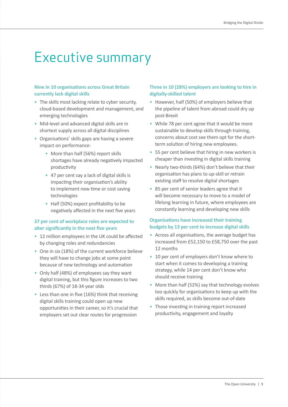# Executive summary

### **Nine in 10 organisations across Great Britain currently lack digital skills**

- The skills most lacking relate to cyber security, cloud-based development and management, and emerging technologies
- Mid-level and advanced digital skills are in shortest supply across all digital disciplines
- Organisations' skills gaps are having a severe impact on performance:
	- More than half (56%) report skills shortages have already negatively impacted productivity
	- 47 per cent say a lack of digital skills is impacting their organisation's ability to implement new time or cost saving technologies
	- Half (50%) expect profitability to be negatively affected in the next five years

### **37 per cent of workplace roles are expected to alter significantly in the next five years**

- 12 million employees in the UK could be affected by changing roles and redundancies
- One in six (18%) of the current workforce believe they will have to change jobs at some point because of new technology and automation
- Only half (48%) of employees say they want digital training, but this figure increases to two thirds (67%) of 18-34 year olds
- Less than one in five (16%) think that receiving digital skills training could open up new opportunities in their career, so it's crucial that employers set out clear routes for progression

### **Three in 10 (28%) employers are looking to hire in digitally-skilled talent**

- However, half (50%) of employers believe that the pipeline of talent from abroad could dry up post-Brexit
- While 78 per cent agree that it would be more sustainable to develop skills through training, concerns about cost see them opt for the shortterm solution of hiring new employees.
- 55 per cent believe that hiring in new workers is cheaper than investing in digital skills training
- Nearly two-thirds (64%) don't believe that their organisation has plans to up-skill or retrain existing staff to resolve digital shortages
- 85 per cent of senior leaders agree that it will become necessary to move to a model of lifelong learning in future, where employees are constantly learning and developing new skills

### **Organisations have increased their training budgets by 13 per cent to increase digital skills**

- Across all organisations, the average budget has increased from £52,150 to £58,750 over the past 12 months
- 10 per cent of employers don't know where to start when it comes to developing a training strategy, while 14 per cent don't know who should receive training
- More than half (52%) say that technology evolves too quickly for organisations to keep up with the skills required, as skills become out-of-date
- Those investing in training report increased productivity, engagement and loyalty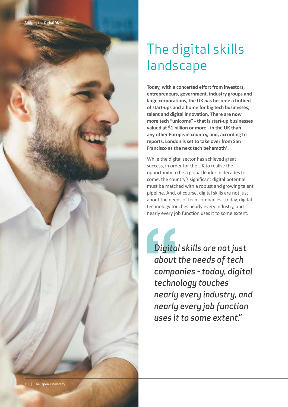# The digital skills landscape

**Today, with a concerted effort from investors, entrepreneurs, government, industry groups and large corporations, the UK has become a hotbed of start-ups and a home for big tech businesses, talent and digital innovation. There are now more tech "unicorns" - that is start-up businesses valued at \$1 billion or more - in the UK than any other European country, and, according to reports, London is set to take over from San**  Francisco as the next tech behemoth<sup>1</sup>.

While the digital sector has achieved great success, in order for the UK to realise the opportunity to be a global leader in decades to come, the country's significant digital potential must be matched with a robust and growing talent pipeline. And, of course, digital skills are not just about the needs of tech companies - today, digital technology touches nearly every industry, and nearly every job function uses it to some extent.

*Digital skills are not just about the needs of tech companies - today, digital technology touches nearly every industry, and nearly every job function uses it to some extent."*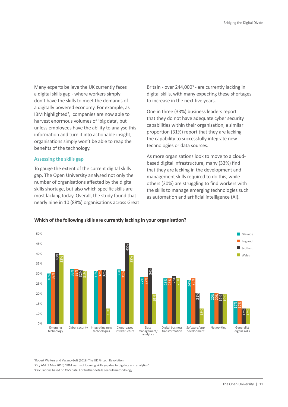Many experts believe the UK currently faces a digital skills gap - where workers simply don't have the skills to meet the demands of a digitally powered economy. For example, as IBM highlighted<sup>2</sup>, companies are now able to harvest enormous volumes of 'big data', but unless employees have the ability to analyse this information and turn it into actionable insight, organisations simply won't be able to reap the benefits of the technology.

#### **Assessing the skills gap**

To gauge the extent of the current digital skills gap, The Open University analysed not only the number of organisations affected by the digital skills shortage, but also which specific skills are most lacking today. Overall, the study found that nearly nine in 10 (88%) organisations across Great Britain - over 244,000<sup>3</sup> - are currently lacking in digital skills, with many expecting these shortages to increase in the next five years.

One in three (33%) business leaders report that they do not have adequate cyber security capabilities within their organisation, a similar proportion (31%) report that they are lacking the capability to successfully integrate new technologies or data sources.

As more organisations look to move to a cloudbased digital infrastructure, many (33%) find that they are lacking in the development and management skills required to do this, while others (30%) are struggling to find workers with the skills to manage emerging technologies such as automation and artificial intelligence (AI).

#### 50% 45% 40% 35% 30% 25% 20% 15% 10% 0% Emerging technology Cyber security Integrating new Cloud-based technologies infrastructure Data management/ analytics Digital business transformation Software/app development Networking Generalist digital skills 30% 32% 33% 33% 32% 32% 32% 33% 13% 31% 31% 31% 27% 25% 25% 25% 28% 27% 25% 34% 19% 21% 20% 19% 17% 20% 19% 17% 13% 13% 13% 40% 45% 38% 38% GB-wide England Scotland **Wales** 24%

#### **Which of the following skills are currently lacking in your organisation?**

1 Robert Walters and VacancySoft (2019) The UK Fintech Revolution <sup>2</sup>City AM (3 May 2016) "IBM warns of looming skills gap due to big data and analytics" <sup>3</sup>Calculations based on ONS data. For further details see full methodology.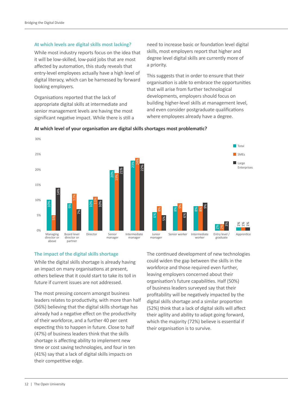#### **At which levels are digital skills most lacking?**

While most industry reports focus on the idea that it will be low-skilled, low-paid jobs that are most affected by automation, this study reveals that entry-level employees actually have a high level of digital literacy, which can be harnessed by forward looking employers.

Organisations reported that the lack of appropriate digital skills at intermediate and senior management levels are having the most significant negative impact. While there is still a need to increase basic or foundation level digital skills, most employers report that higher and degree level digital skills are currently more of a priority.

This suggests that in order to ensure that their organisation is able to embrace the opportunities that will arise from further technological developments, employers should focus on building higher-level skills at management level, and even consider postgraduate qualifications where employees already have a degree.

#### **At which level of your organisation are digital skills shortages most problematic?**



#### **The impact of the digital skills shortage**

While the digital skills shortage is already having an impact on many organisations at present, others believe that it could start to take its toll in future if current issues are not addressed.

The most pressing concern amongst business leaders relates to productivity, with more than half (56%) believing that the digital skills shortage has already had a negative effect on the productivity of their workforce, and a further 40 per cent expecting this to happen in future. Close to half (47%) of business leaders think that the skills shortage is affecting ability to implement new time or cost saving technologies, and four in ten (41%) say that a lack of digital skills impacts on their competitive edge.

The continued development of new technologies could widen the gap between the skills in the workforce and those required even further, leaving employers concerned about their organisation's future capabilities. Half (50%) of business leaders surveyed say that their profitability will be negatively impacted by the digital skills shortage and a similar proportion (52%) think that a lack of digital skills will affect their agility and ability to adapt going forward, which the majority (72%) believe is essential if their organisation is to survive.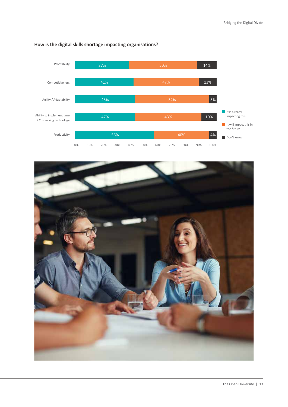

#### **How is the digital skills shortage impacting organisations?**

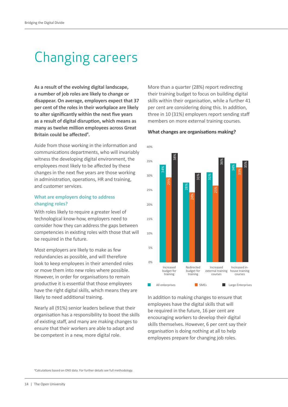## Changing careers

**As a result of the evolving digital landscape, a number of job roles are likely to change or disappear. On average, employers expect that 37 per cent of the roles in their workplace are likely to alter significantly within the next five years as a result of digital disruption, which means as many as twelve million employees across Great Britain could be affected<sup>4</sup> .** 

Aside from those working in the information and communications departments, who will invariably witness the developing digital environment, the employees most likely to be affected by these changes in the next five years are those working in administration, operations, HR and training, and customer services.

### **What are employers doing to address changing roles?**

With roles likely to require a greater level of technological know-how, employers need to consider how they can address the gaps between competencies in existing roles with those that will be required in the future.

Most employers are likely to make as few redundancies as possible, and will therefore look to keep employees in their amended roles or move them into new roles where possible. However, in order for organisations to remain productive it is essential that those employees have the right digital skills, which means they are likely to need additional training.

Nearly all (91%) senior leaders believe that their organisation has a responsibility to boost the skills of existing staff, and many are making changes to ensure that their workers are able to adapt and be competent in a new, more digital role.

More than a quarter (28%) report redirecting their training budget to focus on building digital skills within their organisation, while a further 41 per cent are considering doing this. In addition, three in 10 (31%) employers report sending staff members on more external training courses.

#### **What changes are organisations making?**



In addition to making changes to ensure that employees have the digital skills that will be required in the future, 16 per cent are encouraging workers to develop their digital skills themselves. However, 6 per cent say their organisation is doing nothing at all to help

4 Calculations based on ONS data. For further details see full methodology.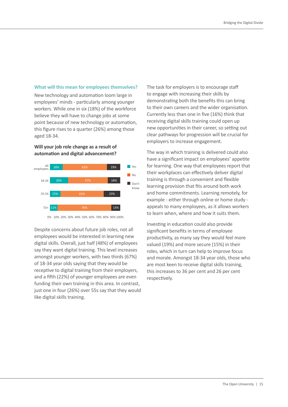#### **What will this mean for employees themselves?**

New technology and automation loom large in employees' minds - particularly among younger workers. While one in six (18%) of the workforce believe they will have to change jobs at some point because of new technology or automation, this figure rises to a quarter (26%) among those aged 18-34.

### **Will your job role change as a result of automation and digital advancement?**



0% 10% 20% 30% 40% 50% 60% 70% 80% 90%100%

Despite concerns about future job roles, not all employees would be interested in learning new digital skills. Overall, just half (48%) of employees say they want digital training. This level increases amongst younger workers, with two thirds (67%) of 18-34 year olds saying that they would be receptive to digital training from their employers, and a fifth (22%) of younger employees are even funding their own training in this area. In contrast, just one in four (26%) over 55s say that they would like digital skills training.

The task for employers is to encourage staff to engage with increasing their skills by demonstrating both the benefits this can bring to their own careers and the wider organisation. Currently less than one in five (16%) think that receiving digital skills training could open up new opportunities in their career, so setting out clear pathways for progression will be crucial for employers to increase engagement.

The way in which training is delivered could also have a significant impact on employees' appetite for learning. One way that employees report that their workplaces can effectively deliver digital training is through a convenient and flexible learning provision that fits around both work and home commitments. Learning remotely, for example - either through online or home study appeals to many employees, as it allows workers to learn when, where and how it suits them.

Investing in education could also provide significant benefits in terms of employee productivity, as many say they would feel more valued (19%) and more secure (15%) in their roles, which in turn can help to improve focus and morale. Amongst 18-34 year olds, those who are most keen to receive digital skills training, this increases to 36 per cent and 26 per cent respectively.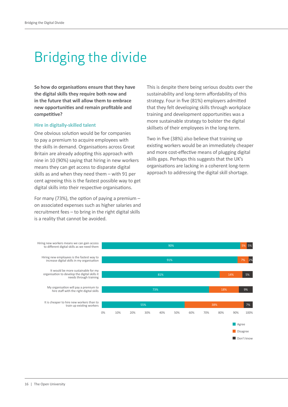# Bridging the divide

**So how do organisations ensure that they have the digital skills they require both now and in the future that will allow them to embrace new opportunities and remain profitable and competitive?** 

#### **Hire in digitally-skilled talent**

One obvious solution would be for companies to pay a premium to acquire employees with the skills in demand. Organisations across Great Britain are already adopting this approach with nine in 10 (90%) saying that hiring in new workers means they can get access to disparate digital skills as and when they need them – with 91 per cent agreeing this is the fastest possible way to get digital skills into their respective organisations.

For many (73%), the option of paying a premium  $$ on associated expenses such as higher salaries and recruitment fees – to bring in the right digital skills is a reality that cannot be avoided.

This is despite there being serious doubts over the sustainability and long-term affordability of this strategy. Four in five (81%) employers admitted that they felt developing skills through workplace training and development opportunities was a more sustainable strategy to bolster the digital skillsets of their employees in the long-term.

Two in five (38%) also believe that training up existing workers would be an immediately cheaper and more cost-effective means of plugging digital skills gaps. Perhaps this suggests that the UK's organisations are lacking in a coherent long-term approach to addressing the digital skill shortage.



16 | The Open University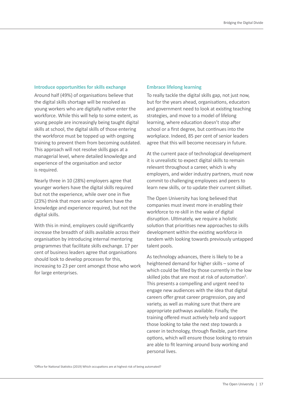#### **Introduce opportunities for skills exchange**

Around half (49%) of organisations believe that the digital skills shortage will be resolved as young workers who are digitally native enter the workforce. While this will help to some extent, as young people are increasingly being taught digital skills at school, the digital skills of those entering the workforce must be topped up with ongoing training to prevent them from becoming outdated. This approach will not resolve skills gaps at a managerial level, where detailed knowledge and experience of the organisation and sector is required.

Nearly three in 10 (28%) employers agree that younger workers have the digital skills required but not the experience, while over one in five (23%) think that more senior workers have the knowledge and experience required, but not the digital skills.

With this in mind, employers could significantly increase the breadth of skills available across their organisation by introducing internal mentoring programmes that facilitate skills exchange. 17 per cent of business leaders agree that organisations should look to develop processes for this, increasing to 23 per cent amongst those who work for large enterprises.

#### **Embrace lifelong learning**

To really tackle the digital skills gap, not just now, but for the years ahead, organisations, educators and government need to look at existing teaching strategies, and move to a model of lifelong learning, where education doesn't stop after school or a first degree, but continues into the workplace. Indeed, 85 per cent of senior leaders agree that this will become necessary in future.

At the current pace of technological development it is unrealistic to expect digital skills to remain relevant throughout a career, which is why employers, and wider industry partners, must now commit to challenging employees and peers to learn new skills, or to update their current skillset.

The Open University has long believed that companies must invest more in enabling their workforce to re-skill in the wake of digital disruption. Ultimately, we require a holistic solution that prioritises new approaches to skills development within the existing workforce in tandem with looking towards previously untapped talent pools.

As technology advances, there is likely to be a heightened demand for higher skills – some of which could be filled by those currently in the low skilled jobs that are most at risk of automation<sup>5</sup>. This presents a compelling and urgent need to engage new audiences with the idea that digital careers offer great career progression, pay and variety, as well as making sure that there are appropriate pathways available. Finally, the training offered must actively help and support those looking to take the next step towards a career in technology, through flexible, part-time options, which will ensure those looking to retrain are able to fit learning around busy working and personal lives.

5 Office for National Statistics (2019) Which occupations are at highest risk of being automated?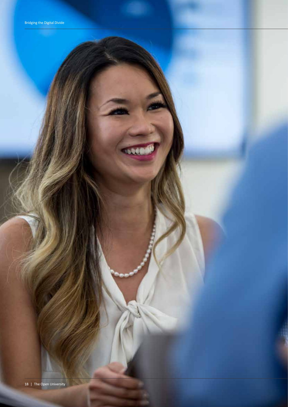15.84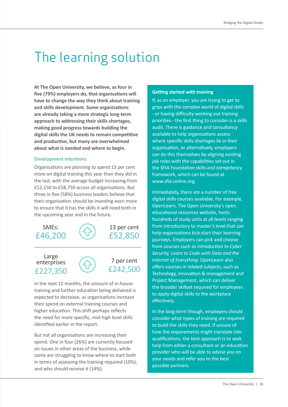# The learning solution

**At The Open University, we believe, as four in five (79%) employers do, that organisations will have to change the way they think about training and skills development. Some organisations are already taking a more strategic long-term approach to addressing their skills shortages, making good progress towards building the digital skills the UK needs to remain competitive and productive, but many are overwhelmed about what is needed and where to begin.** 

### **Development intentions**

Organisations are planning to spend 13 per cent more on digital training this year than they did in the last, with the average budget increasing from £52,150 to £58,750 across all organisations. But three in five (58%) business leaders believe that their organisation should be investing even more to ensure that it has the skills it will need both in the upcoming year and in the future.

SMEs: £46,200



13 per cent £52,850

Large enterprises £227,350



7 per cent £242,500

In the next 12 months, the amount of in-house training and further education being delivered is expected to decrease, as organisations increase their spend on external training courses and higher education. This shift perhaps reflects the need for more specific, mid-high level skills identified earlier in the report.

But not all organisations are increasing their spend. One in four (26%) are currently focused on issues in other areas of the business, while some are struggling to know where to start both in terms of assessing the training required (10%), and who should receive it (14%).

#### **Getting started with training**

If, as an employer, you are trying to get to grips with the complex world of digital skills - or having difficulty working out training priorities - the first thing to consider is a skills audit. There is guidance and consultancy available to help organisations assess where specific skills shortages lie in their organisation, or alternatively, employers can do this themselves by aligning existing job roles with the capabilities set out in the SFIA Foundation skills and competency framework, which can be found at www.sfia-online.org.

Immediately, there are a number of free digital skills courses available. For example, OpenLearn, The Open University's open educational resources website, hosts hundreds of study units at all levels ranging from introductory to master's level that can help organisations kick-start their learning journeys. Employers can pick and choose from courses such as *Introduction to Cyber Security, Learn to Code with Data and the Internet of Everything*. OpenLearn also offers courses in related subjects, such as Technology, innovation & management and Project Management, which can deliver the broader skillset required for employees to apply digital skills to the workplace effectively.

In the long-term though, employers should consider what types of training are required to build the skills they need. If unsure of how the requirements might translate into qualifications, the best approach is to seek help from either a consultant or an education provider who will be able to advise you on your needs and refer you to the best possible partners.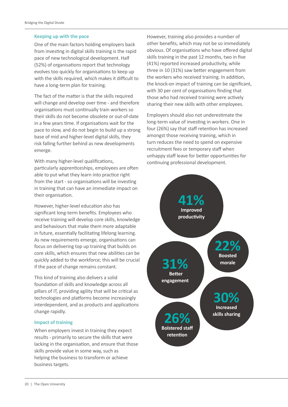### **Keeping up with the pace**

One of the main factors holding employers back from investing in digital skills training is the rapid pace of new technological development. Half (52%) of organisations report that technology evolves too quickly for organisations to keep up with the skills required, which makes it difficult to have a long-term plan for training.

The fact of the matter is that the skills required will change and develop over time - and therefore organisations must continually train workers so their skills do not become obsolete or out-of-date in a few years time. If organisations wait for the pace to slow, and do not begin to build up a strong base of mid and higher-level digital skills, they risk falling further behind as new developments emerge.

With many higher-level qualifications, particularly apprenticeships, employees are often able to put what they learn into practice right from the start - so organisations will be investing in training that can have an immediate impact on their organisation.

However, higher-level education also has significant long-term benefits. Employees who receive training will develop core skills, knowledge and behaviours that make them more adaptable in future, essentially facilitating lifelong learning. As new requirements emerge, organisations can focus on delivering top up training that builds on core skills, which ensures that new abilities can be quickly added to the workforce; this will be crucial if the pace of change remains constant.

This kind of training also delivers a solid foundation of skills and knowledge across all pillars of IT, providing agility that will be critical as technologies and platforms become increasingly interdependent, and as products and applications change rapidly.

### **Impact of training**

When employers invest in training they expect results - primarily to secure the skills that were lacking in the organisation, and ensure that those skills provide value in some way, such as helping the business to transform or achieve business targets.

However, training also provides a number of other benefits, which may not be so immediately obvious. Of organisations who have offered digital skills training in the past 12 months, two in five (41%) reported increased productivity, while three in 10 (31%) saw better engagement from the workers who received training. In addition, the knock-on impact of training can be significant, with 30 per cent of organisations finding that those who had received training were actively sharing their new skills with other employees.

Employers should also not underestimate the long-term value of investing in workers. One in four (26%) say that staff retention has increased amongst those receiving training, which in turn reduces the need to spend on expensive recruitment fees or temporary staff when unhappy staff leave for better opportunities for continuing professional development.

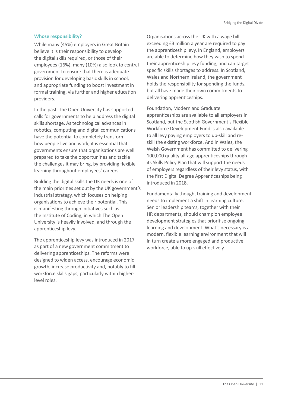#### **Whose responsibility?**

While many (45%) employers in Great Britain believe it is their responsibility to develop the digital skills required, or those of their employees (16%), many (10%) also look to central government to ensure that there is adequate provision for developing basic skills in school, and appropriate funding to boost investment in formal training, via further and higher education providers.

In the past, The Open University has supported calls for governments to help address the digital skills shortage. As technological advances in robotics, computing and digital communications have the potential to completely transform how people live and work, it is essential that governments ensure that organisations are well prepared to take the opportunities and tackle the challenges it may bring, by providing flexible learning throughout employees' careers.

Building the digital skills the UK needs is one of the main priorities set out by the UK government's industrial strategy, which focuses on helping organisations to achieve their potential. This is manifesting through initiatives such as the Institute of Coding, in which The Open University is heavily involved, and through the apprenticeship levy.

The apprenticeship levy was introduced in 2017 as part of a new government commitment to delivering apprenticeships. The reforms were designed to widen access, encourage economic growth, increase productivity and, notably to fill workforce skills gaps, particularly within higherlevel roles.

Organisations across the UK with a wage bill exceeding £3 million a year are required to pay the apprenticeship levy. In England, employers are able to determine how they wish to spend their apprenticeship levy funding, and can target specific skills shortages to address. In Scotland, Wales and Northern Ireland, the government holds the responsibility for spending the funds, but all have made their own commitments to delivering apprenticeships.

Foundation, Modern and Graduate apprenticeships are available to all employers in Scotland, but the Scottish Government's Flexible Workforce Development Fund is also available to all levy paying employers to up-skill and reskill the existing workforce. And in Wales, the Welsh Government has committed to delivering 100,000 quality all-age apprenticeships through its Skills Policy Plan that will support the needs of employers regardless of their levy status, with the first Digital Degree Apprenticeships being introduced in 2018.

Fundamentally though, training and development needs to implement a shift in learning culture. Senior leadership teams, together with their HR departments, should champion employee development strategies that prioritise ongoing learning and development. What's necessary is a modern, flexible learning environment that will in turn create a more engaged and productive workforce, able to up-skill effectively.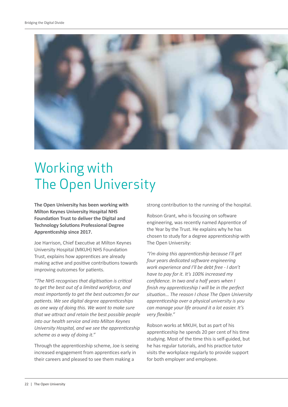

# Working with The Open University

**The Open University has been working with Milton Keynes University Hospital NHS Foundation Trust to deliver the Digital and Technology Solutions Professional Degree Apprenticeship since 2017.**

Joe Harrison, Chief Executive at Milton Keynes University Hospital (MKUH) NHS Foundation Trust, explains how apprentices are already making active and positive contributions towards improving outcomes for patients.

*"The NHS recognises that digitisation is critical to get the best out of a limited workforce, and most importantly to get the best outcomes for our patients. We see digital degree apprenticeships as one way of doing this. We want to make sure that we attract and retain the best possible people into our health service and into Milton Keynes University Hospital, and we see the apprenticeship scheme as a way of doing it."*

Through the apprenticeship scheme, Joe is seeing increased engagement from apprentices early in their careers and pleased to see them making a

strong contribution to the running of the hospital.

Robson Grant, who is focusing on software engineering, was recently named Apprentice of the Year by the Trust. He explains why he has chosen to study for a degree apprenticeship with The Open University:

*"I'm doing this apprenticeship because I'll get four years dedicated software engineering work experience and I'll be debt free - I don't have to pay for it. It's 100% increased my confidence. In two and a half years when I finish my apprenticeship I will be in the perfect situation… The reason I chose The Open University apprenticeship over a physical university is you can manage your life around it a lot easier. It's very flexible."*

Robson works at MKUH, but as part of his apprenticeship he spends 20 per cent of his time studying. Most of the time this is self-guided, but he has regular tutorials, and his practice tutor visits the workplace regularly to provide support for both employer and employee.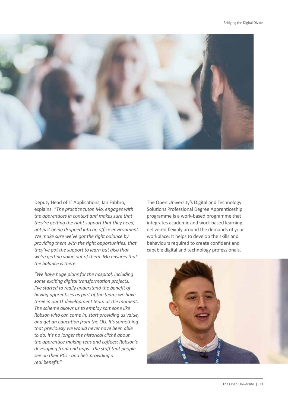

Deputy Head of IT Applications, Ian Fabbro, explains: *"The practice tutor, Mo, engages with the apprentices in context and makes sure that they're getting the right support that they need, not just being dropped into an office environment. We make sure we've got the right balance by providing them with the right opportunities, that they've got the support to learn but also that we're getting value out of them. Mo ensures that the balance is there.*

*"We have huge plans for the hospital, including some exciting digital transformation projects. I've started to really understand the benefit of having apprentices as part of the team; we have three in our IT development team at the moment. The scheme allows us to employ someone like Robson who can come in, start providing us value, and get an education from the OU. It's something that previously we would never have been able to do. It's no longer the historical cliché about the apprentice making teas and coffees; Robson's developing front end apps - the stuff that people see on their PCs - and he's providing a real benefit."*

The Open University's Digital and Technology Solutions Professional Degree Apprenticeship programme is a work-based programme that integrates academic and work-based learning, delivered flexibly around the demands of your workplace. It helps to develop the skills and behaviours required to create confident and capable digital and technology professionals.

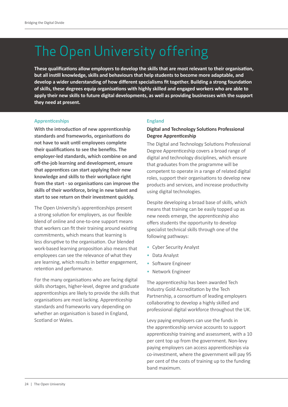# The Open University offering

**These qualifications allow employers to develop the skills that are most relevant to their organisation, but all instill knowledge, skills and behaviours that help students to become more adaptable, and develop a wider understanding of how different specialisms fit together. Building a strong foundation of skills, these degrees equip organisations with highly skilled and engaged workers who are able to apply their new skills to future digital developments, as well as providing businesses with the support they need at present.**

#### **Apprenticeships**

**With the introduction of new apprenticeship standards and frameworks, organisations do not have to wait until employees complete their qualifications to see the benefits. The employer-led standards, which combine on and off-the-job learning and development, ensure that apprentices can start applying their new knowledge and skills to their workplace right from the start - so organisations can improve the skills of their workforce, bring in new talent and start to see return on their investment quickly.**

The Open University's apprenticeships present a strong solution for employers, as our flexible blend of online and one-to-one support means that workers can fit their training around existing commitments, which means that learning is less disruptive to the organisation. Our blended work-based learning proposition also means that employees can see the relevance of what they are learning, which results in better engagement, retention and performance.

For the many organisations who are facing digital skills shortages, higher-level, degree and graduate apprenticeships are likely to provide the skills that organisations are most lacking. Apprenticeship standards and frameworks vary depending on whether an organisation is based in England, Scotland or Wales.

#### **England**

### **Digital and Technology Solutions Professional Degree Apprenticeship**

The Digital and Technology Solutions Professional Degree Apprenticeship covers a broad range of digital and technology disciplines, which ensure that graduates from the programme will be competent to operate in a range of related digital roles, support their organisations to develop new products and services, and increase productivity using digital technologies.

Despite developing a broad base of skills, which means that training can be easily topped up as new needs emerge, the apprenticeship also offers students the opportunity to develop specialist technical skills through one of the following pathways:

- Cyber Security Analyst
- Data Analyst
- Software Engineer
- Network Engineer

The apprenticeship has been awarded Tech Industry Gold Accreditation by the Tech Partnership, a consortium of leading employers collaborating to develop a highly skilled and professional digital workforce throughout the UK.

Levy paying employers can use the funds in the apprenticeship service accounts to support apprenticeship training and assessment, with a 10 per cent top up from the government. Non-levy paying employers can access apprenticeships via co-investment, where the government will pay 95 per cent of the costs of training up to the funding band maximum.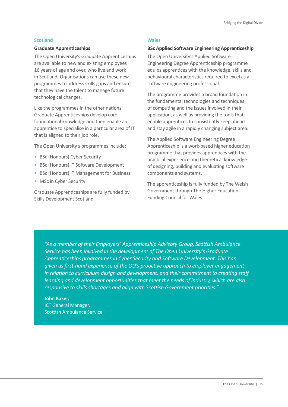#### **Scotland**

#### **Graduate Apprenticeships**

The Open University's Graduate Apprenticeships are available to new and existing employees 16 years of age and over, who live and work in Scotland. Organisations can use these new programmes to address skills gaps and ensure that they have the talent to manage future technological changes.

Like the programmes in the other nations, Graduate Apprenticeships develop core foundational knowledge and then enable an apprentice to specialise in a particular area of IT that is aligned to their job role.

The Open University's programmes include:

- BSc (Honours) Cyber Security
- BSc (Honours) IT Software Development
- BSc (Honours) IT Management for Business
- MSc in Cyber Security

Graduate Apprenticeships are fully funded by Skills Development Scotland.

#### **Wales**

#### **BSc Applied Software Engineering Apprenticeship**

The Open University's Applied Software Engineering Degree Apprenticeship programme equips apprentices with the knowledge, skills and behavioural characteristics required to excel as a software engineering professional.

The programme provides a broad foundation in the fundamental technologies and techniques of computing and the issues involved in their application, as well as providing the tools that enable apprentices to consistently keep ahead and stay agile in a rapidly changing subject area.

The Applied Software Engineering Degree Apprenticeship is a work-based higher education programme that provides apprentices with the practical experience and theoretical knowledge of designing, building and evaluating software components and systems.

The apprenticeship is fully funded by The Welsh Government through The Higher Education Funding Council for Wales.

*"As a member of their Employers' Apprenticeship Advisory Group, Scottish Ambulance Service has been involved in the development of The Open University's Graduate Apprenticeships programmes in Cyber Security and Software Development. This has given us first-hand experience of the OU's proactive approach to employer engagement in relation to curriculum design and development, and their commitment to creating staff learning and development opportunities that meet the needs of industry, which are also responsive to skills shortages and align with Scottish Government priorities."*

#### **John Baker,**

ICT General Manager, Scottish Ambulance Service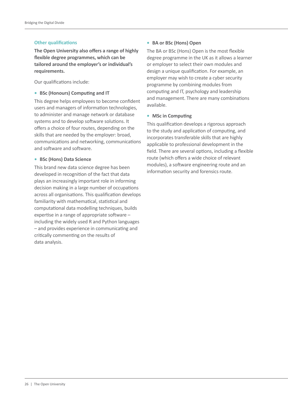#### **Other qualifications**

**The Open University also offers a range of highly flexible degree programmes, which can be tailored around the employer's or individual's requirements.**

Our qualifications include:

### **• BSc (Honours) Computing and IT**

This degree helps employees to become confident users and managers of information technologies, to administer and manage network or database systems and to develop software solutions. It offers a choice of four routes, depending on the skills that are needed by the employer: broad, communications and networking, communications and software and software.

#### **• BSc (Hons) Data Science**

This brand new data science degree has been developed in recognition of the fact that data plays an increasingly important role in informing decision making in a large number of occupations across all organisations. This qualification develops familiarity with mathematical, statistical and computational data modelling techniques, builds expertise in a range of appropriate software – including the widely used R and Python languages – and provides experience in communicating and critically commenting on the results of data analysis.

### **• BA or BSc (Hons) Open**

The BA or BSc (Hons) Open is the most flexible degree programme in the UK as it allows a learner or employer to select their own modules and design a unique qualification. For example, an employer may wish to create a cyber security programme by combining modules from computing and IT, psychology and leadership and management. There are many combinations available.

#### **• MSc in Computing**

This qualification develops a rigorous approach to the study and application of computing, and incorporates transferable skills that are highly applicable to professional development in the field. There are several options, including a flexible route (which offers a wide choice of relevant modules), a software engineering route and an information security and forensics route.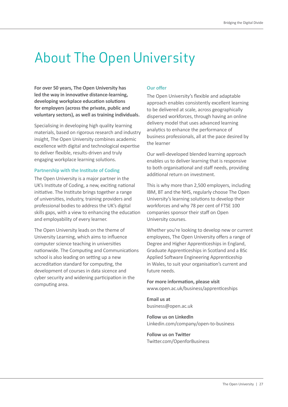# About The Open University

**For over 50 years, The Open University has led the way in innovative distance-learning, developing workplace education solutions for employers (across the private, public and voluntary sectors), as well as training individuals.**

Specialising in developing high quality learning materials, based on rigorous research and industry insight, The Open University combines academic excellence with digital and technological expertise to deliver flexible, results-driven and truly engaging workplace learning solutions.

### **Partnership with the Institute of Coding**

The Open University is a major partner in the UK's Institute of Coding, a new, exciting national initiative. The Institute brings together a range of universities, industry, training providers and professional bodies to address the UK's digital skills gaps, with a view to enhancing the education and employability of every learner.

The Open University leads on the theme of University Learning, which aims to influence computer science teaching in universities nationwide. The Computing and Communications school is also leading on setting up a new accreditation standard for computing, the development of courses in data sicence and cyber security and widening participation in the computing area.

### **Our offer**

The Open University's flexible and adaptable approach enables consistently excellent learning to be delivered at scale, across geographically dispersed workforces, through having an online delivery model that uses advanced learning analytics to enhance the performance of business professionals, all at the pace desired by the learner

Our well-developed blended learning approach enables us to deliver learning that is responsive to both organisational and staff needs, providing additional return on investment.

This is why more than 2,500 employers, including IBM, BT and the NHS, regularly choose The Open University's learning solutions to develop their workforces and why 78 per cent of FTSE 100 companies sponsor their staff on Open University courses.

Whether you're looking to develop new or current employees, The Open University offers a range of Degree and Higher Apprenticeships in England, Graduate Apprenticeships in Scotland and a BSc Applied Software Engineering Apprenticeship in Wales, to suit your organisation's current and future needs.

**For more information, please visit** www.open.ac.uk/business/apprenticeships

**Email us at** business@open.ac.uk

**Follow us on LinkedIn** Linkedin.com/company/open-to-business

**Follow us on Twitter** Twitter.com/OpenforBusiness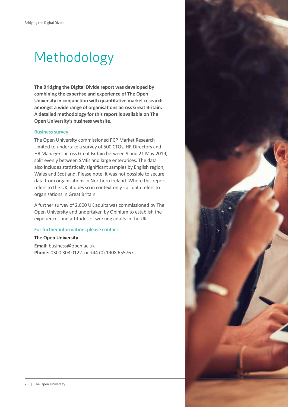# Methodology

**The Bridging the Digital Divide report was developed by combining the expertise and experience of The Open University in conjunction with quantitative market research amongst a wide range of organisations across Great Britain. A detailed methodology for this report is available on The Open University's business website.** 

#### **Business survey**

The Open University commissioned PCP Market Research Limited to undertake a survey of 500 CTOs, HR Directors and HR Managers across Great Britain between 9 and 21 May 2019, split evenly between SMEs and large enterprises. The data also includes statistically significant samples by English region, Wales and Scotland. Please note, it was not possible to secure data from organisations in Northern Ireland. Where this report refers to the UK, it does so in context only - all data refers to organisations in Great Britain.

A further survey of 2,000 UK adults was commissioned by The Open University and undertaken by Opinium to establish the experiences and attitudes of working adults in the UK.

### **For further information, please contact:**

#### **The Open University**

**Email:** business@open.ac.uk **Phone:** 0300 303 0122 or +44 (0) 1908 655767

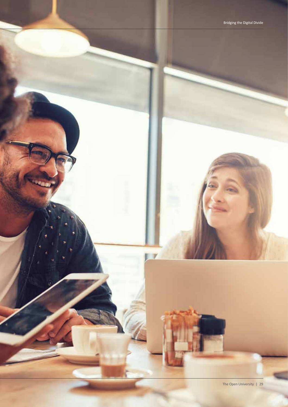